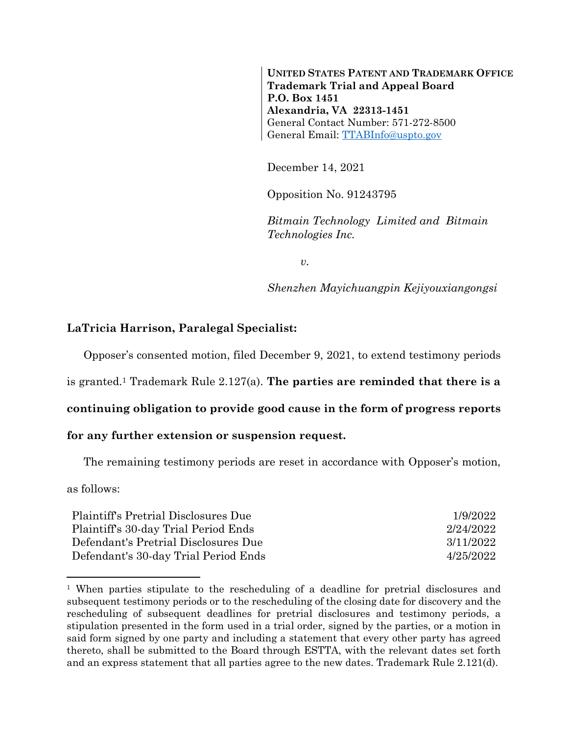**UNITED STATES PATENT AND TRADEMARK OFFICE Trademark Trial and Appeal Board P.O. Box 1451 Alexandria, VA 22313-1451** General Contact Number: 571-272-8500 General Email: [TTABInfo@uspto.gov](mailto:TTABInfo@uspto.gov)

December 14, 2021

Opposition No. 91243795

*Bitmain Technology Limited and Bitmain Technologies Inc.*

*v.*

*Shenzhen Mayichuangpin Kejiyouxiangongsi*

## **LaTricia Harrison, Paralegal Specialist:**

Opposer's consented motion, filed December 9, 2021, to extend testimony periods

is granted.<sup>1</sup> Trademark Rule 2.127(a). **The parties are reminded that there is a** 

## **continuing obligation to provide good cause in the form of progress reports**

## **for any further extension or suspension request.**

The remaining testimony periods are reset in accordance with Opposer's motion,

as follows:

l

| Plaintiff's Pretrial Disclosures Due | 1/9/2022  |
|--------------------------------------|-----------|
| Plaintiff's 30-day Trial Period Ends | 2/24/2022 |
| Defendant's Pretrial Disclosures Due | 3/11/2022 |
| Defendant's 30-day Trial Period Ends | 4/25/2022 |

<sup>1</sup> When parties stipulate to the rescheduling of a deadline for pretrial disclosures and subsequent testimony periods or to the rescheduling of the closing date for discovery and the rescheduling of subsequent deadlines for pretrial disclosures and testimony periods, a stipulation presented in the form used in a trial order, signed by the parties, or a motion in said form signed by one party and including a statement that every other party has agreed thereto, shall be submitted to the Board through ESTTA, with the relevant dates set forth and an express statement that all parties agree to the new dates. Trademark Rule 2.121(d).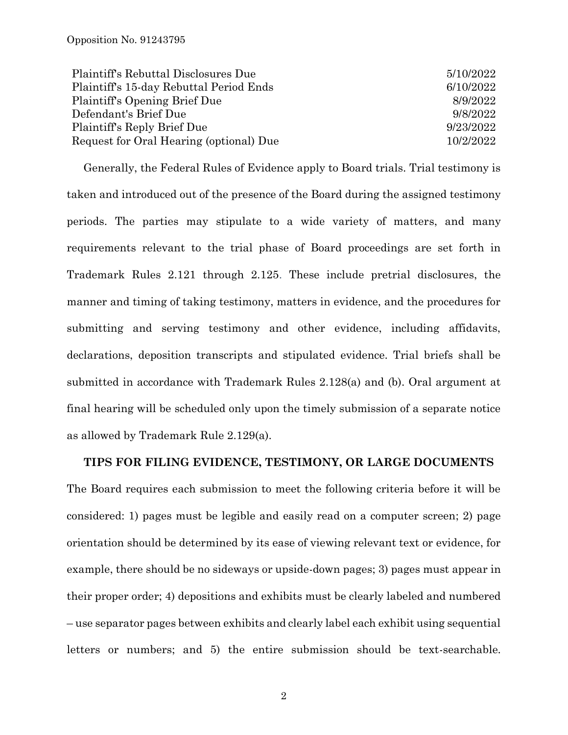| Plaintiff's Rebuttal Disclosures Due    | 5/10/2022 |
|-----------------------------------------|-----------|
| Plaintiff's 15-day Rebuttal Period Ends | 6/10/2022 |
| Plaintiff's Opening Brief Due           | 8/9/2022  |
| Defendant's Brief Due                   | 9/8/2022  |
| Plaintiff's Reply Brief Due             | 9/23/2022 |
| Request for Oral Hearing (optional) Due | 10/2/2022 |

Generally, the Federal Rules of Evidence apply to Board trials. Trial testimony is taken and introduced out of the presence of the Board during the assigned testimony periods. The parties may stipulate to a wide variety of matters, and many requirements relevant to the trial phase of Board proceedings are set forth in Trademark Rules 2.121 through 2.125. These include pretrial disclosures, the manner and timing of taking testimony, matters in evidence, and the procedures for submitting and serving testimony and other evidence, including affidavits, declarations, deposition transcripts and stipulated evidence. Trial briefs shall be submitted in accordance with Trademark Rules 2.128(a) and (b). Oral argument at final hearing will be scheduled only upon the timely submission of a separate notice as allowed by Trademark Rule 2.129(a).

## **TIPS FOR FILING EVIDENCE, TESTIMONY, OR LARGE DOCUMENTS**

The Board requires each submission to meet the following criteria before it will be considered: 1) pages must be legible and easily read on a computer screen; 2) page orientation should be determined by its ease of viewing relevant text or evidence, for example, there should be no sideways or upside-down pages; 3) pages must appear in their proper order; 4) depositions and exhibits must be clearly labeled and numbered – use separator pages between exhibits and clearly label each exhibit using sequential letters or numbers; and 5) the entire submission should be text-searchable.